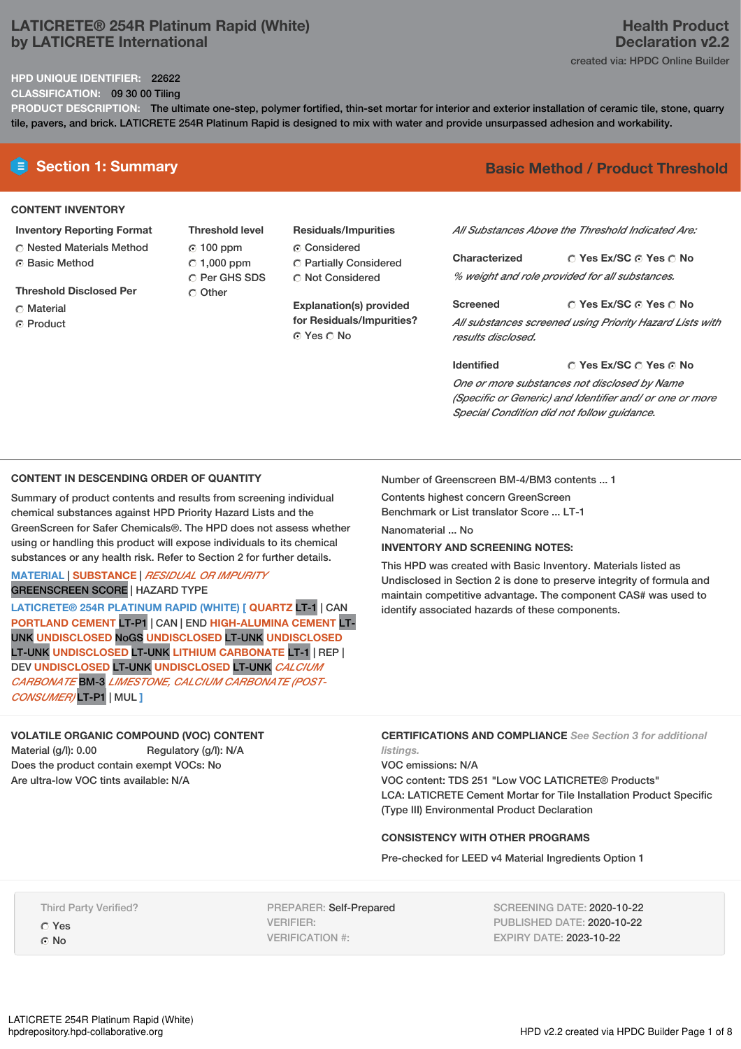## **LATICRETE® 254R Platinum Rapid (White) by LATICRETE International**

## **Health Product Declaration v2.2** created via: HPDC Online Builder

## **HPD UNIQUE IDENTIFIER:** 22622

**CLASSIFICATION:** 09 30 00 Tiling

**PRODUCT DESCRIPTION:** The ultimate one-step, polymer fortified, thin-set mortar for interior and exterior installation of ceramic tile, stone, quarry tile, pavers, and brick. LATICRETE 254R Platinum Rapid is designed to mix with water and provide unsurpassed adhesion and workability.

## **CONTENT INVENTORY**

- **Inventory Reporting Format**
- Nested Materials Method **G** Basic Method
- **Threshold Disclosed Per**
- C Material
- ⊙ Product
- **Threshold level** 100 ppm  $C$  1,000 ppm C Per GHS SDS C Other
- **Residuals/Impurities** C Considered
- Partially Considered Not Considered

**Explanation(s) provided for Residuals/Impurities?** ⊙ Yes ∩ No

# **E** Section 1: Summary **Basic Method / Product Threshold**

*All Substances Above the Threshold Indicated Are:*

**Yes Ex/SC Yes No Characterized** *% weight and role provided for all substances.*

**Yes Ex/SC Yes No Screened** *All substances screened using Priority Hazard Lists with results disclosed.*

**Identified**

## **Yes Ex/SC Yes No**

*One or more substances not disclosed by Name (Specific or Generic) and Identifier and/ or one or more Special Condition did not follow guidance.*

## **CONTENT IN DESCENDING ORDER OF QUANTITY**

Summary of product contents and results from screening individual chemical substances against HPD Priority Hazard Lists and the GreenScreen for Safer Chemicals®. The HPD does not assess whether using or handling this product will expose individuals to its chemical substances or any health risk. Refer to Section 2 for further details.

**MATERIAL** | **SUBSTANCE** | *RESIDUAL OR IMPURITY* GREENSCREEN SCORE | HAZARD TYPE

**LATICRETE® 254R PLATINUM RAPID (WHITE) [ QUARTZ** LT-1 | CAN **PORTLAND CEMENT** LT-P1 | CAN | END **HIGH-ALUMINA CEMENT** LT-UNK **UNDISCLOSED** NoGS **UNDISCLOSED** LT-UNK **UNDISCLOSED** LT-UNK **UNDISCLOSED** LT-UNK **LITHIUM CARBONATE** LT-1 | REP | DEV **UNDISCLOSED** LT-UNK **UNDISCLOSED** LT-UNK *CALCIUM CARBONATE* BM-3 *LIMESTONE, CALCIUM CARBONATE (POST-CONSUMER)* LT-P1 | MUL **]**

## **VOLATILE ORGANIC COMPOUND (VOC) CONTENT**

Material (g/l): 0.00 Regulatory (g/l): N/A Does the product contain exempt VOCs: No Are ultra-low VOC tints available: N/A

Number of Greenscreen BM-4/BM3 contents ... 1

Contents highest concern GreenScreen Benchmark or List translator Score ... LT-1 Nanomaterial ... No.

## **INVENTORY AND SCREENING NOTES:**

This HPD was created with Basic Inventory. Materials listed as Undisclosed in Section 2 is done to preserve integrity of formula and maintain competitive advantage. The component CAS# was used to identify associated hazards of these components.

**CERTIFICATIONS AND COMPLIANCE** *See Section 3 for additional*

*listings.* VOC emissions: N/A VOC content: TDS 251 "Low VOC LATICRETE® Products" LCA: LATICRETE Cement Mortar for Tile Installation Product Specific (Type III) Environmental Product Declaration

### **CONSISTENCY WITH OTHER PROGRAMS**

Pre-checked for LEED v4 Material Ingredients Option 1

Third Party Verified?

Yes

No

PREPARER: Self-Prepared VERIFIER: VERIFICATION #:

SCREENING DATE: 2020-10-22 PUBLISHED DATE: 2020-10-22 EXPIRY DATE: 2023-10-22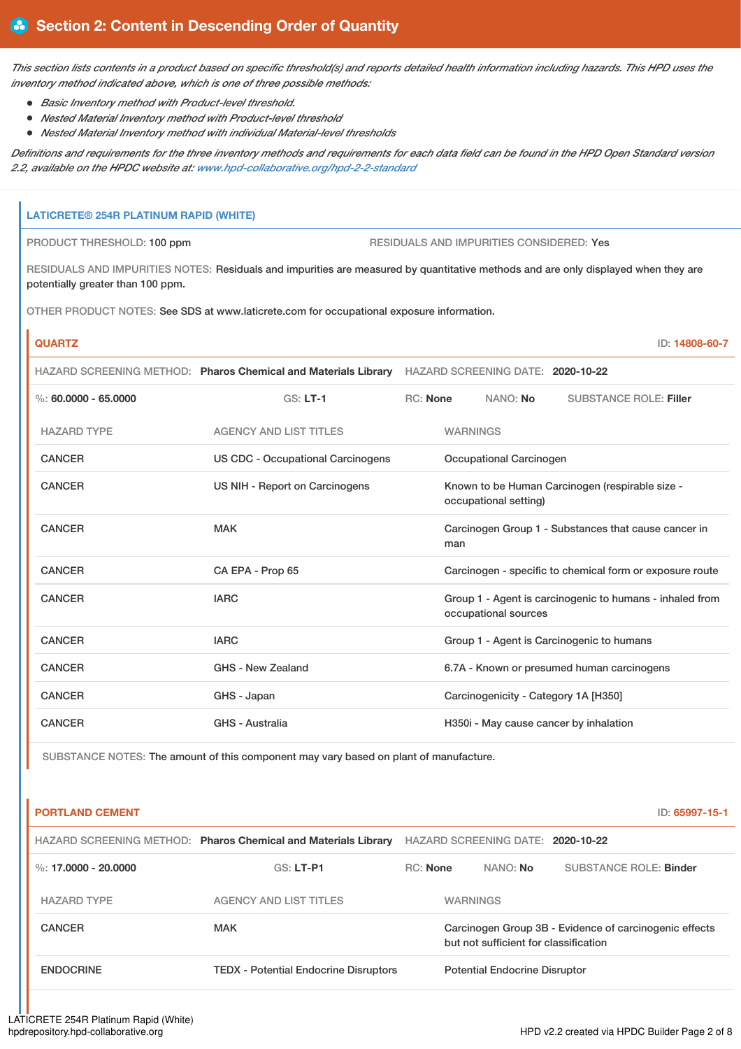This section lists contents in a product based on specific threshold(s) and reports detailed health information including hazards. This HPD uses the *inventory method indicated above, which is one of three possible methods:*

- *Basic Inventory method with Product-level threshold.*
- *Nested Material Inventory method with Product-level threshold*
- *Nested Material Inventory method with individual Material-level thresholds*

Definitions and requirements for the three inventory methods and requirements for each data field can be found in the HPD Open Standard version *2.2, available on the HPDC website at: [www.hpd-collaborative.org/hpd-2-2-standard](https://www.hpd-collaborative.org/hpd-2-2-standard)*

## **LATICRETE® 254R PLATINUM RAPID (WHITE)**

PRODUCT THRESHOLD: 100 ppm RESIDUALS AND IMPURITIES CONSIDERED: Yes

RESIDUALS AND IMPURITIES NOTES: Residuals and impurities are measured by quantitative methods and are only displayed when they are potentially greater than 100 ppm.

OTHER PRODUCT NOTES: See SDS at www.laticrete.com for occupational exposure information.

| <b>QUARTZ</b>            |                                                                |                                                                          |                                                                                  |          | ID: 14808-60-7                         |
|--------------------------|----------------------------------------------------------------|--------------------------------------------------------------------------|----------------------------------------------------------------------------------|----------|----------------------------------------|
|                          | HAZARD SCREENING METHOD: Pharos Chemical and Materials Library | HAZARD SCREENING DATE: 2020-10-22                                        |                                                                                  |          |                                        |
| $\%$ : 60.0000 - 65.0000 | $GS: LT-1$                                                     | RC: None                                                                 |                                                                                  | NANO: No | <b>SUBSTANCE ROLE: Filler</b>          |
| <b>HAZARD TYPE</b>       | <b>AGENCY AND LIST TITLES</b>                                  |                                                                          | <b>WARNINGS</b>                                                                  |          |                                        |
| <b>CANCER</b>            | <b>US CDC - Occupational Carcinogens</b>                       | Occupational Carcinogen                                                  |                                                                                  |          |                                        |
| <b>CANCER</b>            | US NIH - Report on Carcinogens                                 | Known to be Human Carcinogen (respirable size -<br>occupational setting) |                                                                                  |          |                                        |
| <b>CANCER</b>            | <b>MAK</b><br>man                                              |                                                                          | Carcinogen Group 1 - Substances that cause cancer in                             |          |                                        |
| <b>CANCER</b>            | CA EPA - Prop 65                                               |                                                                          | Carcinogen - specific to chemical form or exposure route                         |          |                                        |
| <b>CANCER</b>            | <b>IARC</b>                                                    |                                                                          | Group 1 - Agent is carcinogenic to humans - inhaled from<br>occupational sources |          |                                        |
| <b>CANCER</b>            | <b>IARC</b>                                                    |                                                                          | Group 1 - Agent is Carcinogenic to humans                                        |          |                                        |
| <b>CANCER</b>            | <b>GHS - New Zealand</b>                                       |                                                                          | 6.7A - Known or presumed human carcinogens                                       |          |                                        |
| <b>CANCER</b>            | GHS - Japan                                                    |                                                                          |                                                                                  |          | Carcinogenicity - Category 1A [H350]   |
| <b>CANCER</b>            | <b>GHS - Australia</b>                                         |                                                                          |                                                                                  |          | H350i - May cause cancer by inhalation |

SUBSTANCE NOTES: The amount of this component may vary based on plant of manufacture.

| <b>PORTLAND CEMENT</b> |                                                                |          |                                       | ID: 65997-15-1                                         |
|------------------------|----------------------------------------------------------------|----------|---------------------------------------|--------------------------------------------------------|
|                        | HAZARD SCREENING METHOD: Pharos Chemical and Materials Library |          | HAZARD SCREENING DATE: 2020-10-22     |                                                        |
| %: 17.0000 - 20.0000   | GS: LT-P1                                                      | RC: None | NANO: <b>No</b>                       | <b>SUBSTANCE ROLE: Binder</b>                          |
| <b>HAZARD TYPE</b>     | <b>AGENCY AND LIST TITLES</b>                                  |          | <b>WARNINGS</b>                       |                                                        |
| <b>CANCER</b>          | <b>MAK</b>                                                     |          | but not sufficient for classification | Carcinogen Group 3B - Evidence of carcinogenic effects |
| <b>ENDOCRINE</b>       | <b>TEDX - Potential Endocrine Disruptors</b>                   |          | <b>Potential Endocrine Disruptor</b>  |                                                        |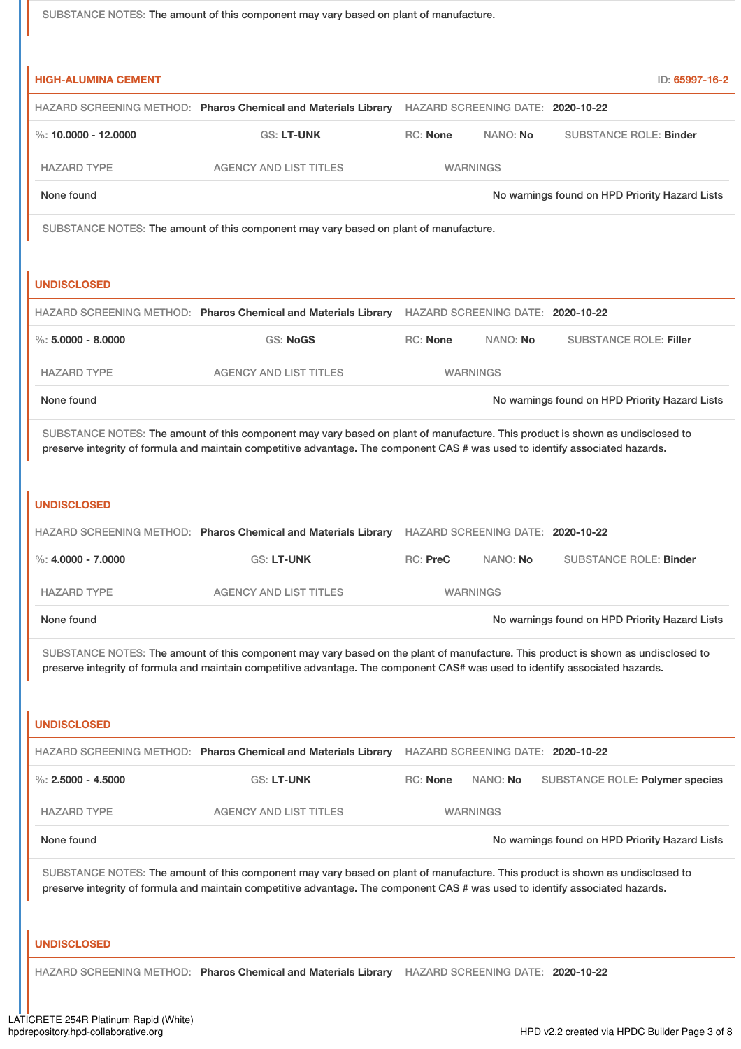SUBSTANCE NOTES: The amount of this component may vary based on plant of manufacture. **HIGH-ALUMINA CEMENT** ID: **65997-16-2** HAZARD SCREENING METHOD: **Pharos Chemical and Materials Library** HAZARD SCREENING DATE: **2020-10-22** %: **10.0000 - 12.0000** GS: **LT-UNK** RC: **None** NANO: **No** SUBSTANCE ROLE: **Binder** HAZARD TYPE AGENCY AND LIST TITLES WARNINGS None found Now the Priority Hazard Lists Company of the November of No warnings found on HPD Priority Hazard Lists SUBSTANCE NOTES: The amount of this component may vary based on plant of manufacture. **UNDISCLOSED** HAZARD SCREENING METHOD: **Pharos Chemical and Materials Library** HAZARD SCREENING DATE: **2020-10-22** %: **5.0000 - 8.0000** GS: **NoGS** RC: **None** NANO: **No** SUBSTANCE ROLE: **Filler** HAZARD TYPE AGENCY AND LIST TITLES WARNINGS None found Now the Priority Hazard Lists and No warnings found on HPD Priority Hazard Lists SUBSTANCE NOTES: The amount of this component may vary based on plant of manufacture. This product is shown as undisclosed to preserve integrity of formula and maintain competitive advantage. The component CAS # was used to identify associated hazards. **UNDISCLOSED** HAZARD SCREENING METHOD: **Pharos Chemical and Materials Library** HAZARD SCREENING DATE: **2020-10-22** %: **4.0000 - 7.0000** GS: **LT-UNK** RC: **PreC** NANO: **No** SUBSTANCE ROLE: **Binder** HAZARD TYPE AGENCY AND LIST TITLES WARNINGS None found Now the Priority Hazard Lists of the November of No warnings found on HPD Priority Hazard Lists SUBSTANCE NOTES: The amount of this component may vary based on the plant of manufacture. This product is shown as undisclosed to preserve integrity of formula and maintain competitive advantage. The component CAS# was used to identify associated hazards. **UNDISCLOSED** HAZARD SCREENING METHOD: **Pharos Chemical and Materials Library** HAZARD SCREENING DATE: **2020-10-22** %: **2.5000 - 4.5000** GS: LT-UNK RC: None NANO: No SUBSTANCE ROLE: Polymer species HAZARD TYPE AGENCY AND LIST TITLES WARNINGS None found Now the Priority Hazard Lists and No warnings found on HPD Priority Hazard Lists SUBSTANCE NOTES: The amount of this component may vary based on plant of manufacture. This product is shown as undisclosed to preserve integrity of formula and maintain competitive advantage. The component CAS # was used to identify associated hazards. **UNDISCLOSED** HAZARD SCREENING METHOD: **Pharos Chemical and Materials Library** HAZARD SCREENING DATE: **2020-10-22**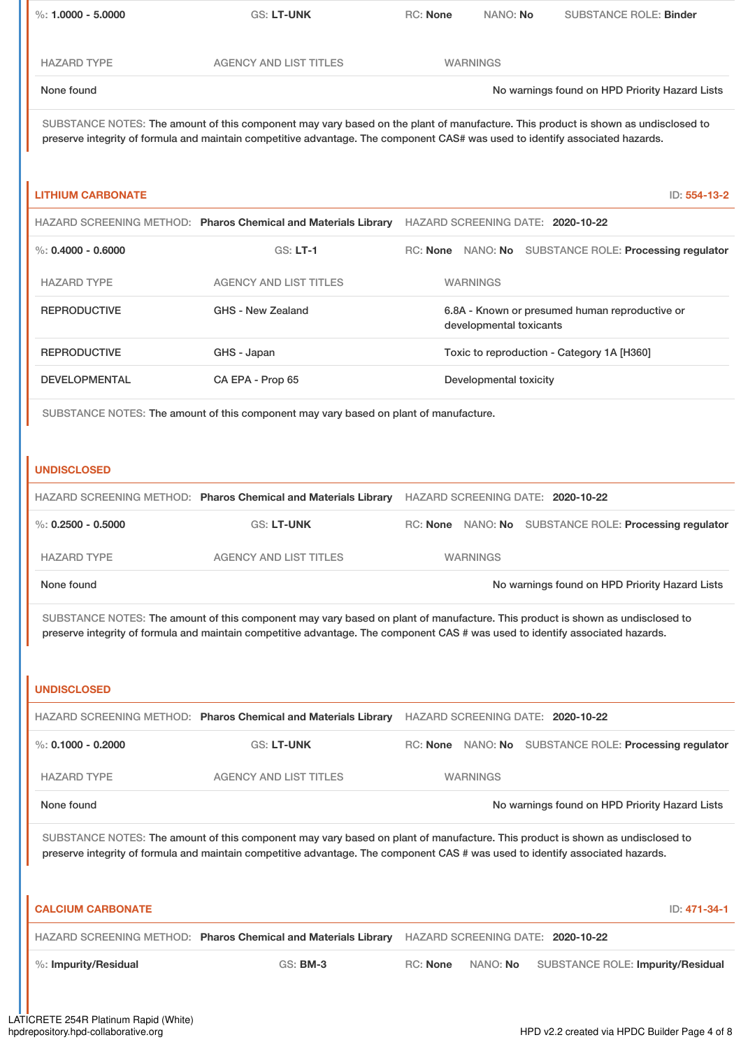| $\%: 1.0000 - 5.0000$                                                                                                                                                                                                                                           | GS: LT-UNK                                                                                                                                                                                                                                                         | <b>RC: None</b> | NANO: No                | <b>SUBSTANCE ROLE: Binder</b>                          |
|-----------------------------------------------------------------------------------------------------------------------------------------------------------------------------------------------------------------------------------------------------------------|--------------------------------------------------------------------------------------------------------------------------------------------------------------------------------------------------------------------------------------------------------------------|-----------------|-------------------------|--------------------------------------------------------|
| <b>HAZARD TYPE</b>                                                                                                                                                                                                                                              | <b>AGENCY AND LIST TITLES</b>                                                                                                                                                                                                                                      |                 | <b>WARNINGS</b>         |                                                        |
| None found                                                                                                                                                                                                                                                      |                                                                                                                                                                                                                                                                    |                 |                         | No warnings found on HPD Priority Hazard Lists         |
|                                                                                                                                                                                                                                                                 | SUBSTANCE NOTES: The amount of this component may vary based on the plant of manufacture. This product is shown as undisclosed to<br>preserve integrity of formula and maintain competitive advantage. The component CAS# was used to identify associated hazards. |                 |                         |                                                        |
| <b>LITHIUM CARBONATE</b>                                                                                                                                                                                                                                        |                                                                                                                                                                                                                                                                    |                 |                         | ID: 554-13-2                                           |
|                                                                                                                                                                                                                                                                 | HAZARD SCREENING METHOD: Pharos Chemical and Materials Library HAZARD SCREENING DATE: 2020-10-22                                                                                                                                                                   |                 |                         |                                                        |
| $\%$ : 0.4000 - 0.6000                                                                                                                                                                                                                                          | <b>GS: LT-1</b>                                                                                                                                                                                                                                                    |                 |                         | RC: None NANO: No SUBSTANCE ROLE: Processing regulator |
| <b>HAZARD TYPE</b>                                                                                                                                                                                                                                              | <b>AGENCY AND LIST TITLES</b>                                                                                                                                                                                                                                      |                 | <b>WARNINGS</b>         |                                                        |
| <b>REPRODUCTIVE</b>                                                                                                                                                                                                                                             | <b>GHS - New Zealand</b>                                                                                                                                                                                                                                           |                 | developmental toxicants | 6.8A - Known or presumed human reproductive or         |
| <b>REPRODUCTIVE</b>                                                                                                                                                                                                                                             | GHS - Japan                                                                                                                                                                                                                                                        |                 |                         | Toxic to reproduction - Category 1A [H360]             |
| <b>DEVELOPMENTAL</b>                                                                                                                                                                                                                                            | CA EPA - Prop 65                                                                                                                                                                                                                                                   |                 | Developmental toxicity  |                                                        |
| SUBSTANCE NOTES: The amount of this component may vary based on plant of manufacture.                                                                                                                                                                           |                                                                                                                                                                                                                                                                    |                 |                         |                                                        |
| <b>UNDISCLOSED</b>                                                                                                                                                                                                                                              |                                                                                                                                                                                                                                                                    |                 |                         |                                                        |
|                                                                                                                                                                                                                                                                 | HAZARD SCREENING METHOD: Pharos Chemical and Materials Library                                                                                                                                                                                                     |                 |                         | HAZARD SCREENING DATE: 2020-10-22                      |
| $\%: 0.2500 - 0.5000$                                                                                                                                                                                                                                           | <b>GS: LT-UNK</b>                                                                                                                                                                                                                                                  |                 |                         | RC: None NANO: No SUBSTANCE ROLE: Processing regulator |
| <b>HAZARD TYPE</b>                                                                                                                                                                                                                                              | AGENCY AND LIST TITLES                                                                                                                                                                                                                                             |                 | <b>WARNINGS</b>         |                                                        |
| None found                                                                                                                                                                                                                                                      |                                                                                                                                                                                                                                                                    |                 |                         | No warnings found on HPD Priority Hazard Lists         |
|                                                                                                                                                                                                                                                                 | SUBSTANCE NOTES: The amount of this component may vary based on plant of manufacture. This product is shown as undisclosed to<br>preserve integrity of formula and maintain competitive advantage. The component CAS # was used to identify associated hazards.    |                 |                         |                                                        |
|                                                                                                                                                                                                                                                                 |                                                                                                                                                                                                                                                                    |                 |                         |                                                        |
| <b>UNDISCLOSED</b>                                                                                                                                                                                                                                              |                                                                                                                                                                                                                                                                    |                 |                         |                                                        |
|                                                                                                                                                                                                                                                                 | HAZARD SCREENING METHOD: Pharos Chemical and Materials Library HAZARD SCREENING DATE: 2020-10-22                                                                                                                                                                   |                 |                         |                                                        |
| %: $0.1000 - 0.2000$                                                                                                                                                                                                                                            | GS: LT-UNK                                                                                                                                                                                                                                                         |                 |                         | RC: None NANO: No SUBSTANCE ROLE: Processing regulator |
| <b>HAZARD TYPE</b>                                                                                                                                                                                                                                              | <b>AGENCY AND LIST TITLES</b>                                                                                                                                                                                                                                      |                 | <b>WARNINGS</b>         |                                                        |
| None found                                                                                                                                                                                                                                                      |                                                                                                                                                                                                                                                                    |                 |                         | No warnings found on HPD Priority Hazard Lists         |
| SUBSTANCE NOTES: The amount of this component may vary based on plant of manufacture. This product is shown as undisclosed to<br>preserve integrity of formula and maintain competitive advantage. The component CAS # was used to identify associated hazards. |                                                                                                                                                                                                                                                                    |                 |                         |                                                        |
| <b>CALCIUM CARBONATE</b>                                                                                                                                                                                                                                        |                                                                                                                                                                                                                                                                    |                 |                         | ID: 471-34-1                                           |
|                                                                                                                                                                                                                                                                 | HAZARD SCREENING METHOD: Pharos Chemical and Materials Library                                                                                                                                                                                                     |                 |                         | HAZARD SCREENING DATE: 2020-10-22                      |
| %: Impurity/Residual                                                                                                                                                                                                                                            | <b>GS: BM-3</b>                                                                                                                                                                                                                                                    | <b>RC: None</b> | NANO: No                | <b>SUBSTANCE ROLE: Impurity/Residual</b>               |
|                                                                                                                                                                                                                                                                 |                                                                                                                                                                                                                                                                    |                 |                         |                                                        |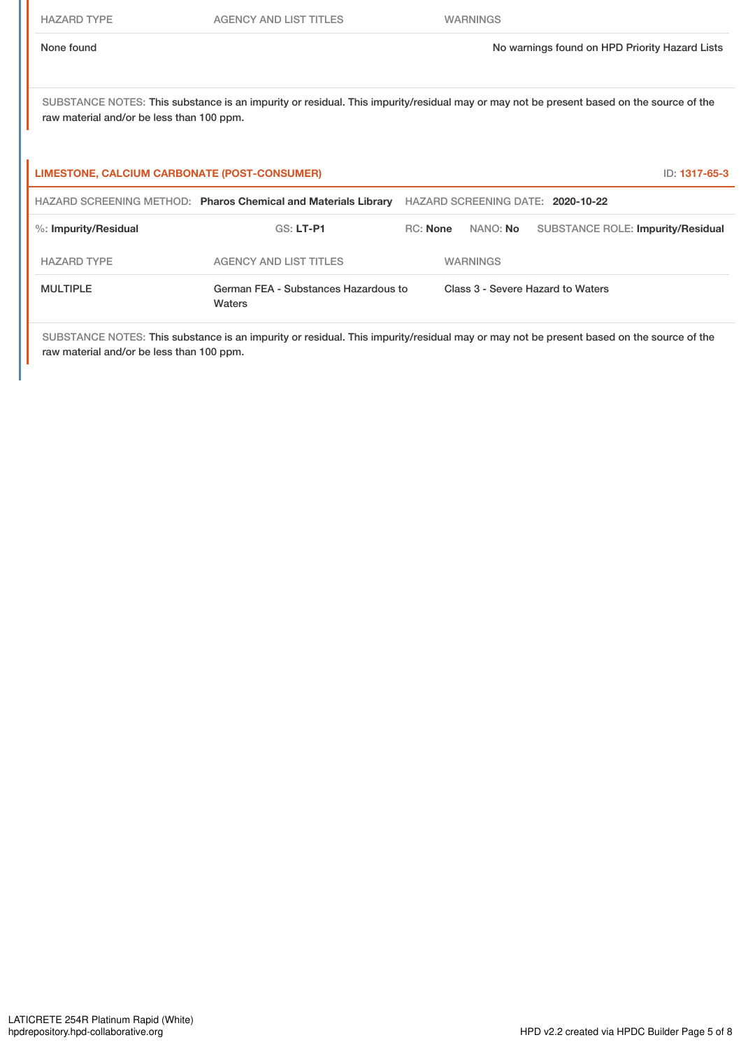SUBSTANCE NOTES: This substance is an impurity or residual. This impurity/residual may or may not be present based on the source of the raw material and/or be less than 100 ppm.

| LIMESTONE, CALCIUM CARBONATE (POST-CONSUMER)<br>ID: 1317-65-3 |                                                                |                                   |                                   |                                          |  |
|---------------------------------------------------------------|----------------------------------------------------------------|-----------------------------------|-----------------------------------|------------------------------------------|--|
|                                                               | HAZARD SCREENING METHOD: Pharos Chemical and Materials Library | HAZARD SCREENING DATE: 2020-10-22 |                                   |                                          |  |
| %: Impurity/Residual                                          | $GS: LT-PI$                                                    | RC: None                          | NANO: <b>No</b>                   | <b>SUBSTANCE ROLE: Impurity/Residual</b> |  |
| <b>HAZARD TYPE</b>                                            | AGENCY AND LIST TITLES                                         |                                   | <b>WARNINGS</b>                   |                                          |  |
| <b>MULTIPLE</b>                                               | German FEA - Substances Hazardous to<br>Waters                 |                                   | Class 3 - Severe Hazard to Waters |                                          |  |

SUBSTANCE NOTES: This substance is an impurity or residual. This impurity/residual may or may not be present based on the source of the raw material and/or be less than 100 ppm.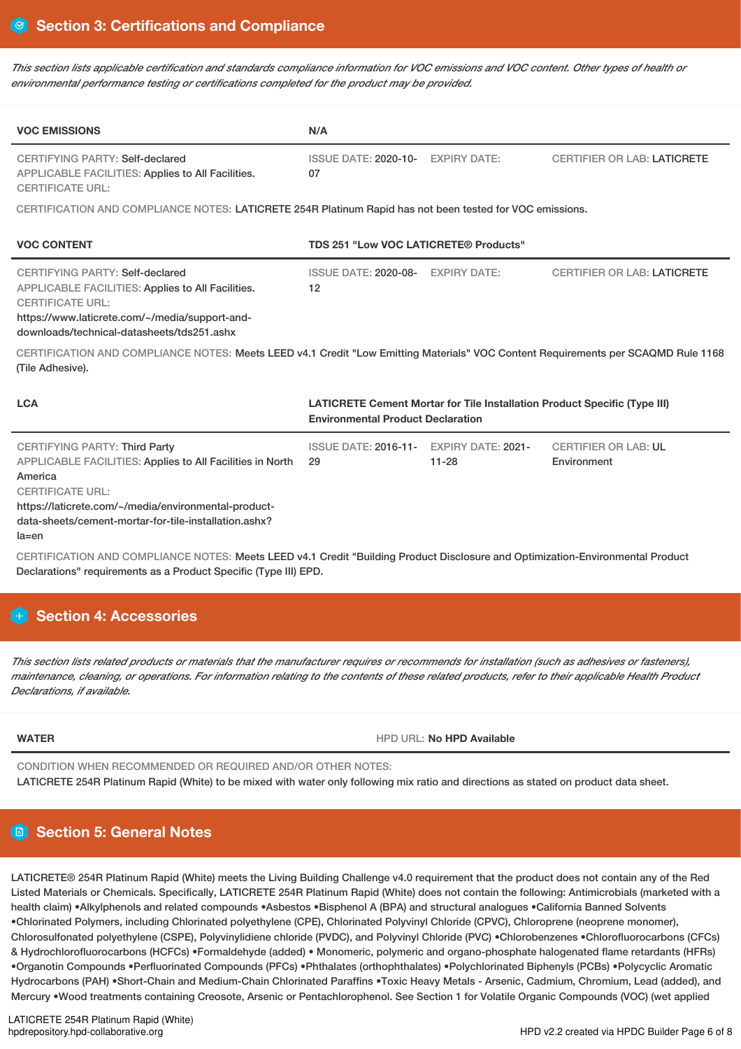This section lists applicable certification and standards compliance information for VOC emissions and VOC content. Other types of health or *environmental performance testing or certifications completed for the product may be provided.*

| <b>VOC EMISSIONS</b>                                                                                                                                                                                                                                                                                                                                                            | N/A                                                                                                                          |           |                                            |  |
|---------------------------------------------------------------------------------------------------------------------------------------------------------------------------------------------------------------------------------------------------------------------------------------------------------------------------------------------------------------------------------|------------------------------------------------------------------------------------------------------------------------------|-----------|--------------------------------------------|--|
| <b>CERTIFYING PARTY: Self-declared</b><br>APPLICABLE FACILITIES: Applies to All Facilities.<br><b>CERTIFICATE URL:</b>                                                                                                                                                                                                                                                          | ISSUE DATE: 2020-10- EXPIRY DATE:<br>07                                                                                      |           | <b>CERTIFIER OR LAB: LATICRETE</b>         |  |
| CERTIFICATION AND COMPLIANCE NOTES: LATICRETE 254R Platinum Rapid has not been tested for VOC emissions.                                                                                                                                                                                                                                                                        |                                                                                                                              |           |                                            |  |
| <b>VOC CONTENT</b>                                                                                                                                                                                                                                                                                                                                                              | <b>TDS 251 "Low VOC LATICRETE® Products"</b>                                                                                 |           |                                            |  |
| <b>CERTIFYING PARTY: Self-declared</b><br>APPLICABLE FACILITIES: Applies to All Facilities.<br><b>CERTIFICATE URL:</b><br>https://www.laticrete.com/~/media/support-and-<br>downloads/technical-datasheets/tds251.ashx<br>CERTIFICATION AND COMPLIANCE NOTES: Meets LEED v4.1 Credit "Low Emitting Materials" VOC Content Requirements per SCAQMD Rule 1168<br>(Tile Adhesive). | ISSUE DATE: 2020-08- EXPIRY DATE:<br>12                                                                                      |           | <b>CERTIFIER OR LAB: LATICRETE</b>         |  |
| <b>LCA</b>                                                                                                                                                                                                                                                                                                                                                                      | <b>LATICRETE Cement Mortar for Tile Installation Product Specific (Type III)</b><br><b>Environmental Product Declaration</b> |           |                                            |  |
| <b>CERTIFYING PARTY: Third Party</b><br><b>APPLICABLE FACILITIES: Applies to All Facilities in North</b><br>America<br><b>CERTIFICATE URL:</b><br>https://laticrete.com/~/media/environmental-product-<br>data-sheets/cement-mortar-for-tile-installation.ashx?<br>$la = en$                                                                                                    | ISSUE DATE: 2016-11- EXPIRY DATE: 2021-<br>29                                                                                | $11 - 28$ | <b>CERTIFIER OR LAB: UL</b><br>Environment |  |

CERTIFICATION AND COMPLIANCE NOTES: Meets LEED v4.1 Credit "Building Product Disclosure and Optimization-Environmental Product Declarations" requirements as a Product Specific (Type III) EPD.

# **H** Section 4: Accessories

This section lists related products or materials that the manufacturer requires or recommends for installation (such as adhesives or fasteners), maintenance, cleaning, or operations. For information relating to the contents of these related products, refer to their applicable Health Product *Declarations, if available.*

**WATER** HPD URL: **No HPD Available**

CONDITION WHEN RECOMMENDED OR REQUIRED AND/OR OTHER NOTES: LATICRETE 254R Platinum Rapid (White) to be mixed with water only following mix ratio and directions as stated on product data sheet.

# **Section 5: General Notes**

LATICRETE® 254R Platinum Rapid (White) meets the Living Building Challenge v4.0 requirement that the product does not contain any of the Red Listed Materials or Chemicals. Specifically, LATICRETE 254R Platinum Rapid (White) does not contain the following: Antimicrobials (marketed with a health claim) •Alkylphenols and related compounds •Asbestos •Bisphenol A (BPA) and structural analogues •California Banned Solvents •Chlorinated Polymers, including Chlorinated polyethylene (CPE), Chlorinated Polyvinyl Chloride (CPVC), Chloroprene (neoprene monomer), Chlorosulfonated polyethylene (CSPE), Polyvinylidiene chloride (PVDC), and Polyvinyl Chloride (PVC) •Chlorobenzenes •Chlorofluorocarbons (CFCs) & Hydrochlorofluorocarbons (HCFCs) •Formaldehyde (added) • Monomeric, polymeric and organo-phosphate halogenated flame retardants (HFRs) •Organotin Compounds •Perfluorinated Compounds (PFCs) •Phthalates (orthophthalates) •Polychlorinated Biphenyls (PCBs) •Polycyclic Aromatic Hydrocarbons (PAH) •Short-Chain and Medium-Chain Chlorinated Paraffins •Toxic Heavy Metals - Arsenic, Cadmium, Chromium, Lead (added), and Mercury •Wood treatments containing Creosote, Arsenic or Pentachlorophenol. See Section 1 for Volatile Organic Compounds (VOC) (wet applied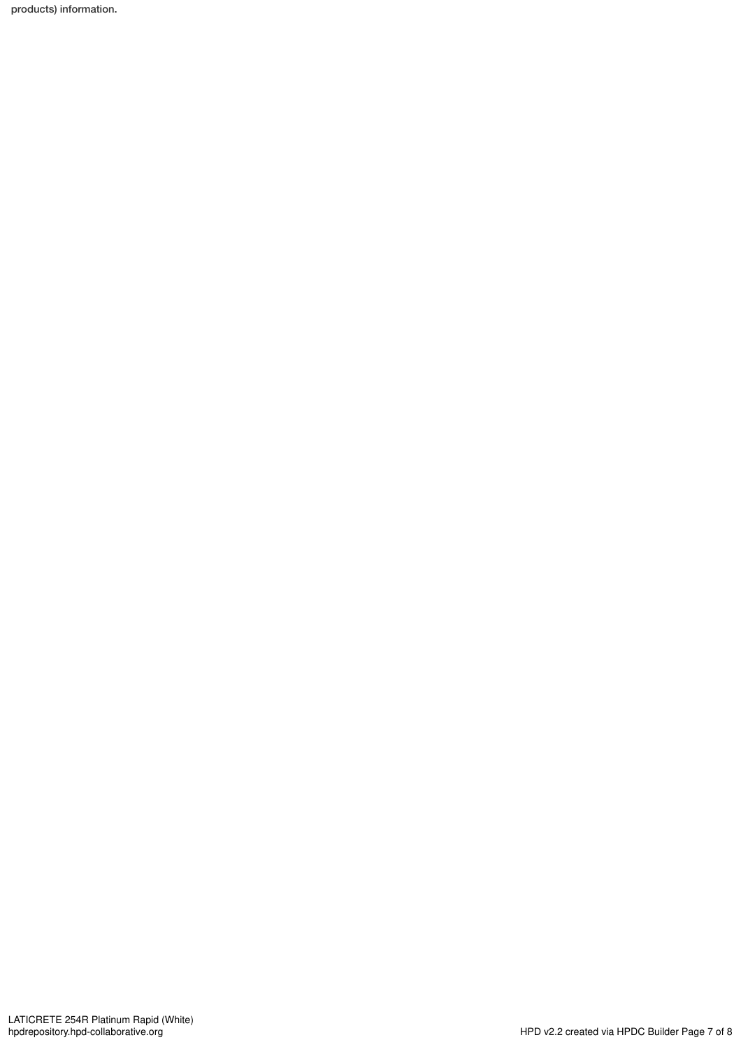products) information.